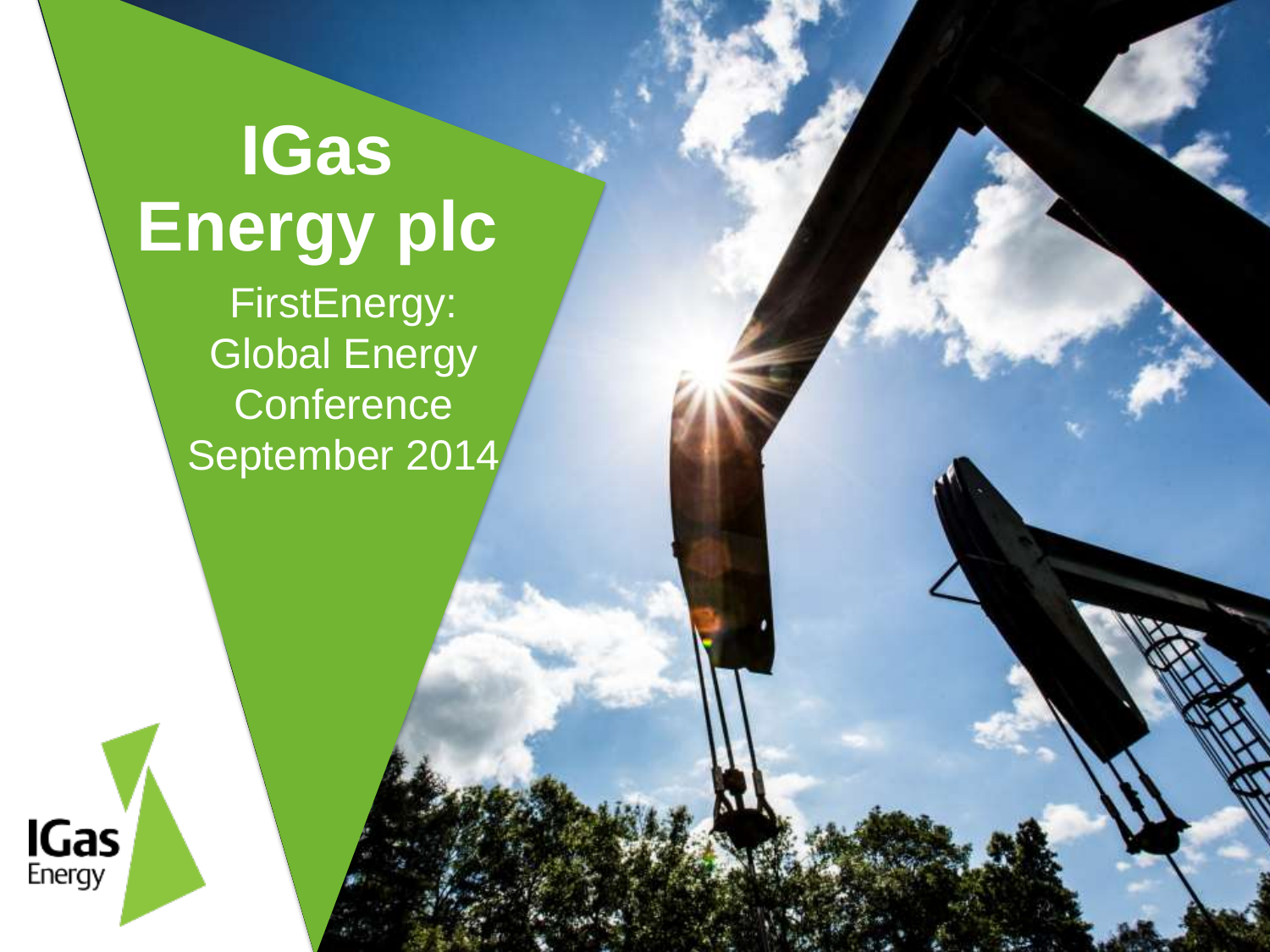**IGas Energy plc** FirstEnergy: Global Energy **Conference** September 2014

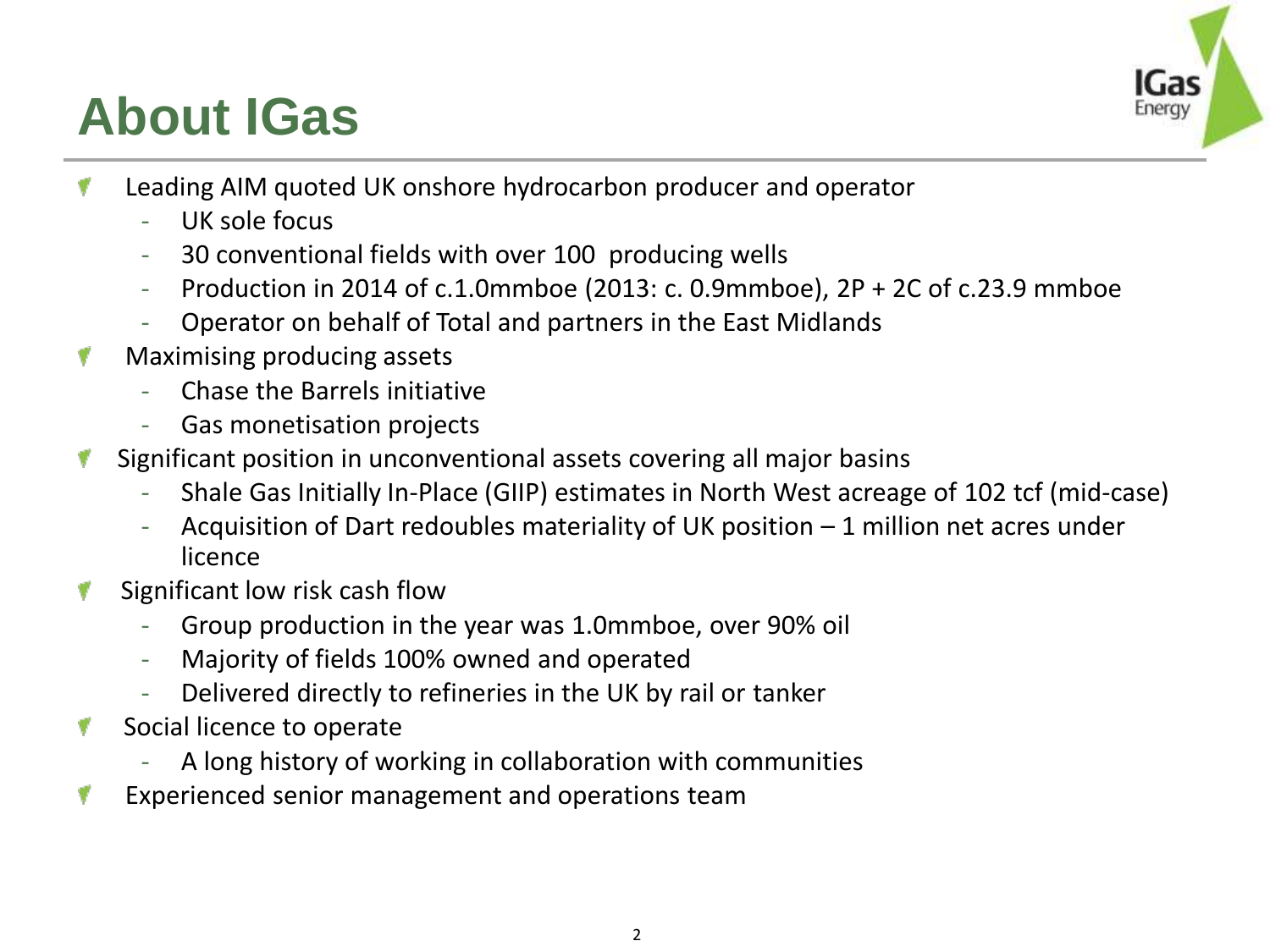#### **About IGas**



- Leading AIM quoted UK onshore hydrocarbon producer and operator v
	- UK sole focus
	- 30 conventional fields with over 100 producing wells
	- Production in 2014 of c.1.0mmboe (2013: c. 0.9mmboe),  $2P + 2C$  of c.23.9 mmboe
	- Operator on behalf of Total and partners in the East Midlands
- Maximising producing assets
	- Chase the Barrels initiative
	- Gas monetisation projects
- Significant position in unconventional assets covering all major basins
	- Shale Gas Initially In-Place (GIIP) estimates in North West acreage of 102 tcf (mid-case)
	- Acquisition of Dart redoubles materiality of UK position 1 million net acres under licence
- Significant low risk cash flow
	- Group production in the year was 1.0mmboe, over 90% oil
	- Majority of fields 100% owned and operated
	- Delivered directly to refineries in the UK by rail or tanker
- Social licence to operate
	- A long history of working in collaboration with communities
- Experienced senior management and operations team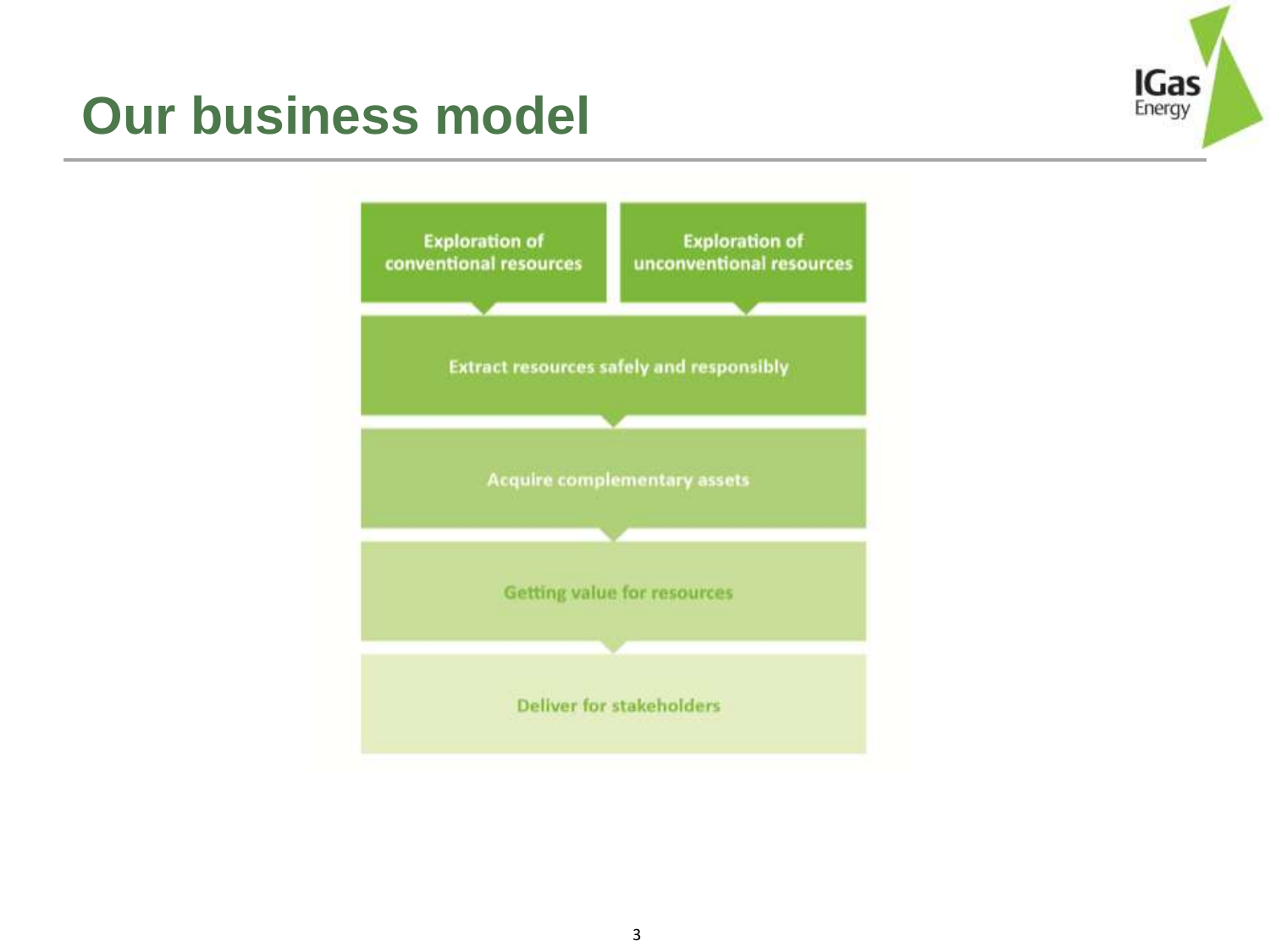

#### **Our business model**

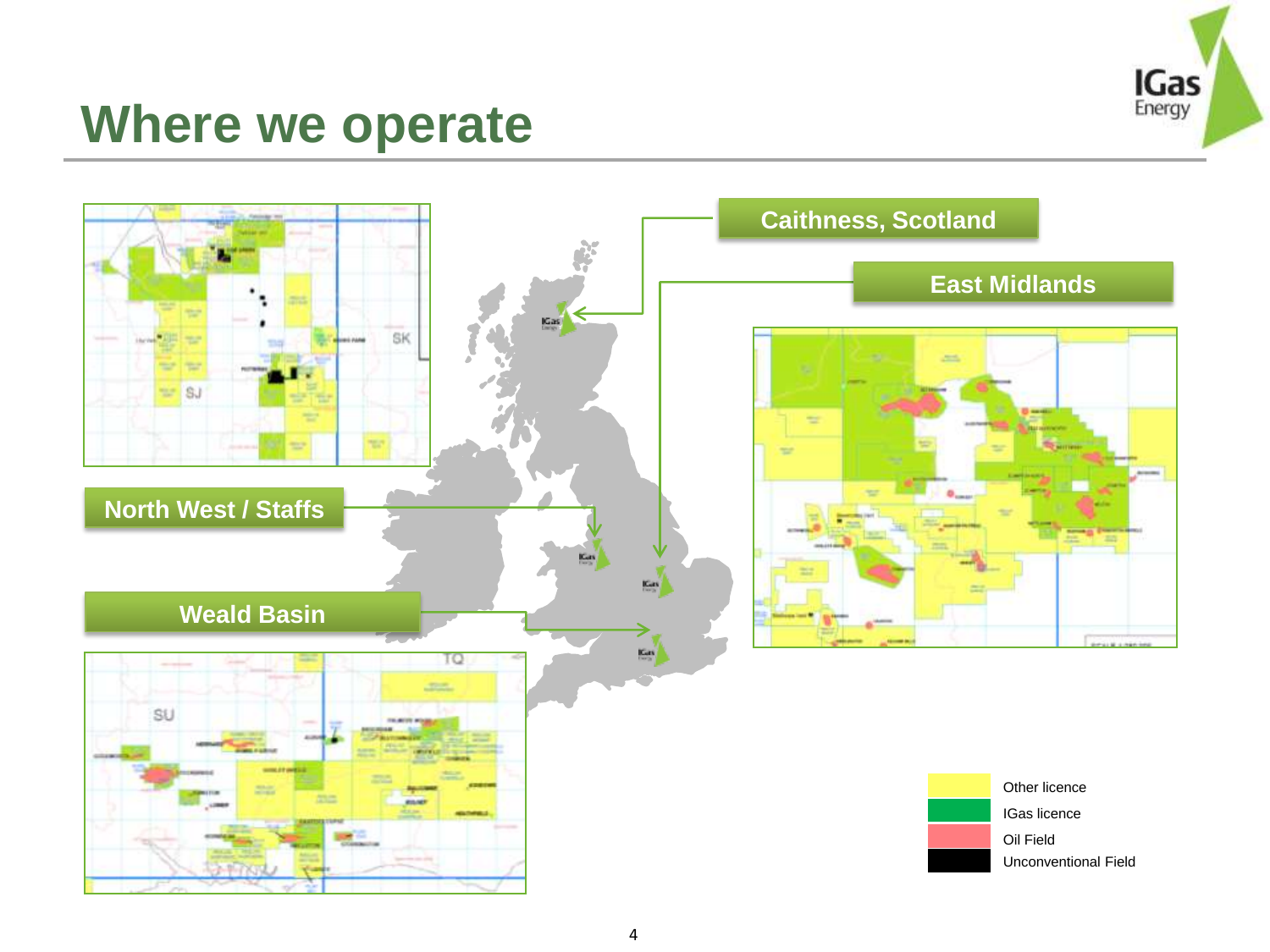

#### **Where we operate**

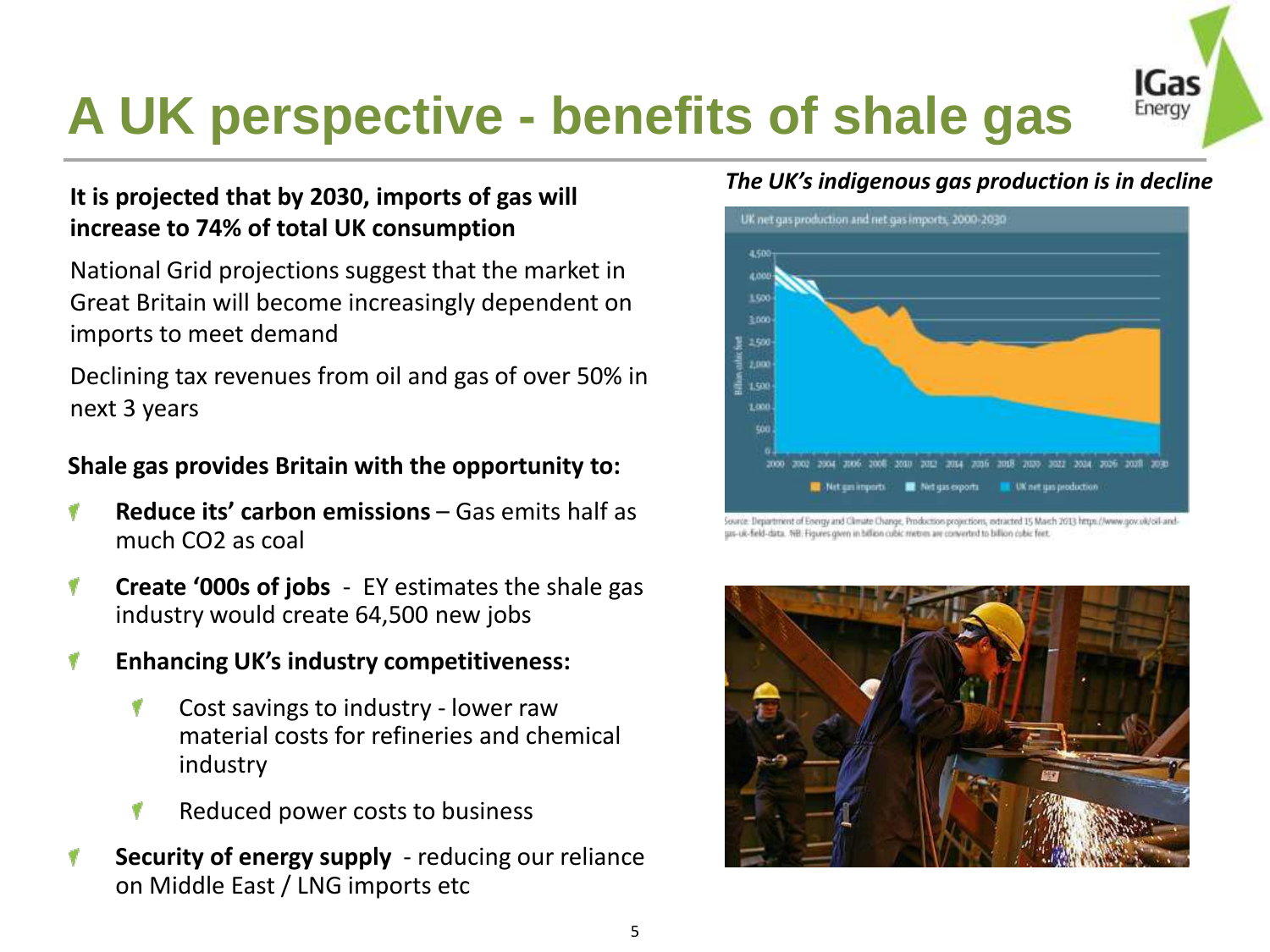#### IGas **A UK perspective - benefits of shale gas**  Energy

# **It is projected that by 2030, imports of gas will**

National Grid projections suggest that the market in Great Britain will become increasingly dependent on imports to meet demand

**increase to 74% of total UK consumption**

Declining tax revenues from oil and gas of over 50% in next 3 years

#### **Shale gas provides Britain with the opportunity to:**

- **Reduce its' carbon emissions**  Gas emits half as much CO2 as coal
- **Create '000s of jobs**  EY estimates the shale gas 1 industry would create 64,500 new jobs
- **Enhancing UK's industry competitiveness:**  1
	- Cost savings to industry lower raw material costs for refineries and chemical industry
	- Reduced power costs to business ۷
- **Security of energy supply**  reducing our reliance on Middle East / LNG imports etc

#### *The UK's indigenous gas production is in decline*



Source: Department of Energy and Climate Change, Production projections, extracted 15 March 2013 https://www.gov.uk/oil-andgas-uk-field-data. NB. Figures given in billion cubic metres are converted to billion cubic feet.

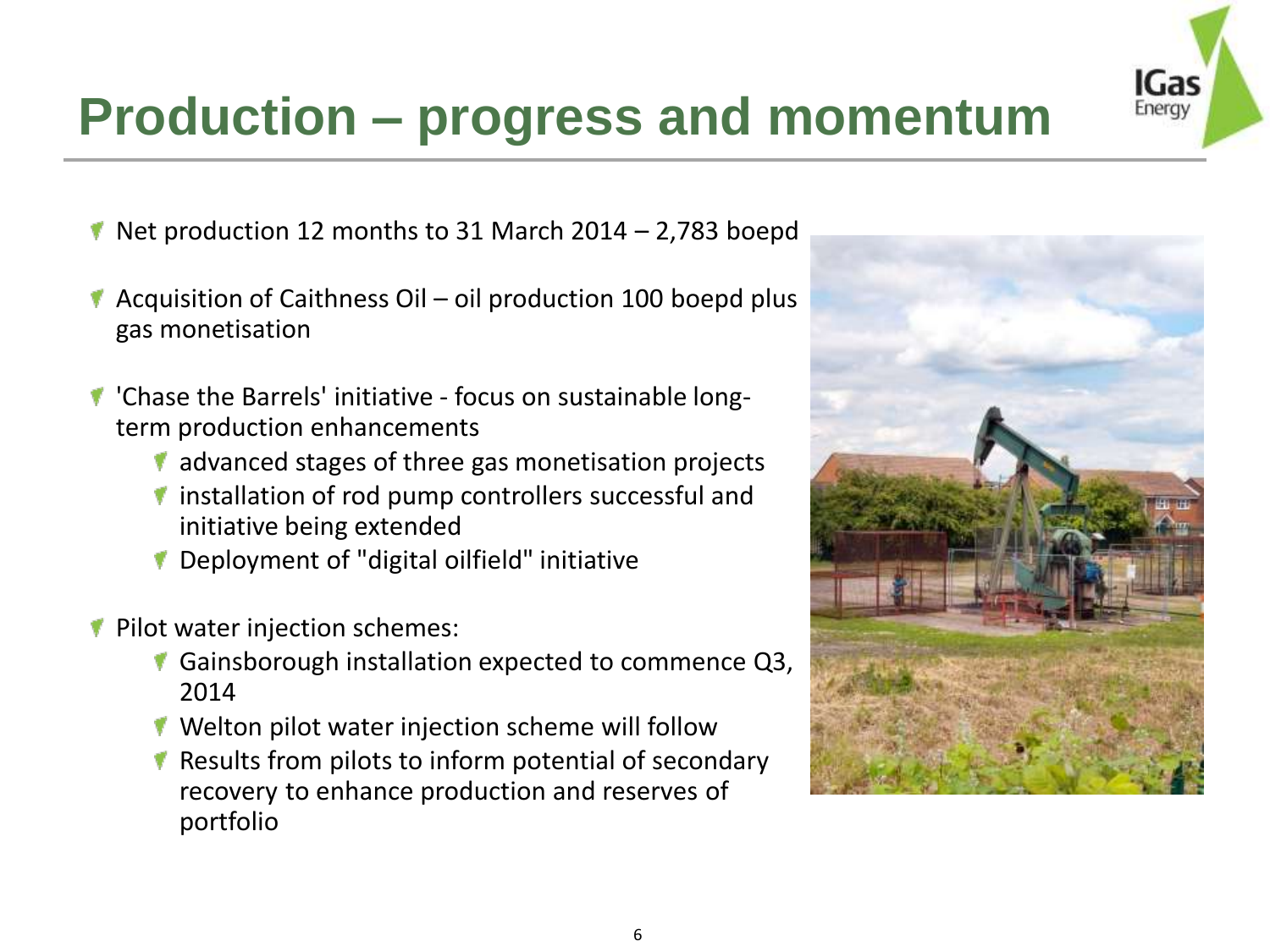

#### **Production – progress and momentum**

- $\blacktriangledown$  Net production 12 months to 31 March 2014 2,783 boepd
- Acquisition of Caithness Oil oil production 100 boepd plus gas monetisation
- 'Chase the Barrels' initiative focus on sustainable longterm production enhancements
	- $\blacksquare$  advanced stages of three gas monetisation projects
	- $\blacksquare$  installation of rod pump controllers successful and initiative being extended
	- Deployment of "digital oilfield" initiative
- Pilot water injection schemes:
	- Gainsborough installation expected to commence Q3, 2014
	- ▼ Welton pilot water injection scheme will follow
	- Results from pilots to inform potential of secondary recovery to enhance production and reserves of portfolio

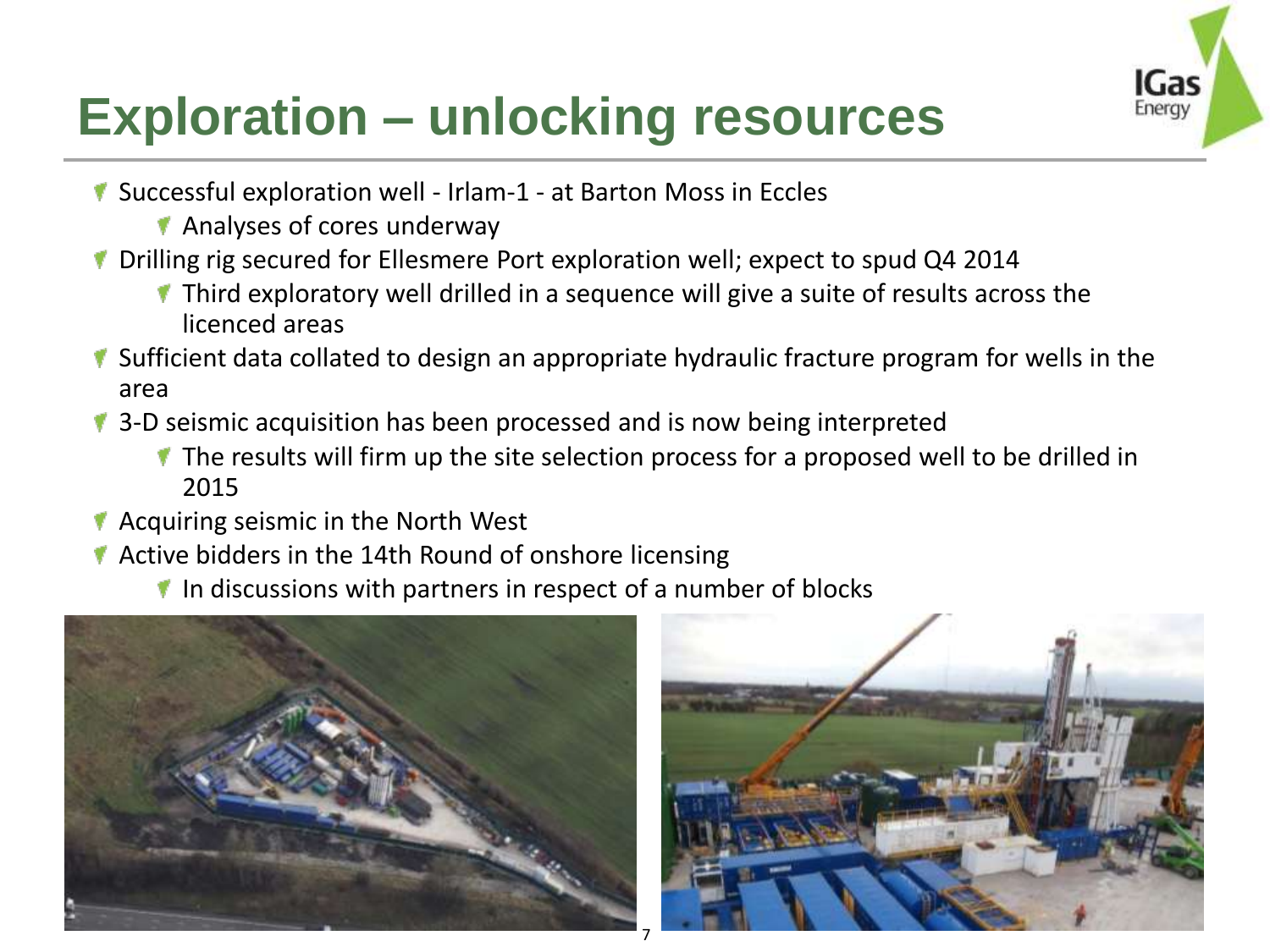

### **Exploration – unlocking resources**

- Successful exploration well Irlam-1 at Barton Moss in Eccles
	- **Analyses of cores underway**
- **T** Drilling rig secured for Ellesmere Port exploration well; expect to spud Q4 2014
	- $\blacksquare$  Third exploratory well drilled in a sequence will give a suite of results across the licenced areas
- **If** Sufficient data collated to design an appropriate hydraulic fracture program for wells in the area
- **1** 3-D seismic acquisition has been processed and is now being interpreted
	- $\blacksquare$  The results will firm up the site selection process for a proposed well to be drilled in 2015

7

- $\blacktriangleright$  Acquiring seismic in the North West
- Active bidders in the 14th Round of onshore licensing
	- $\blacksquare$  In discussions with partners in respect of a number of blocks



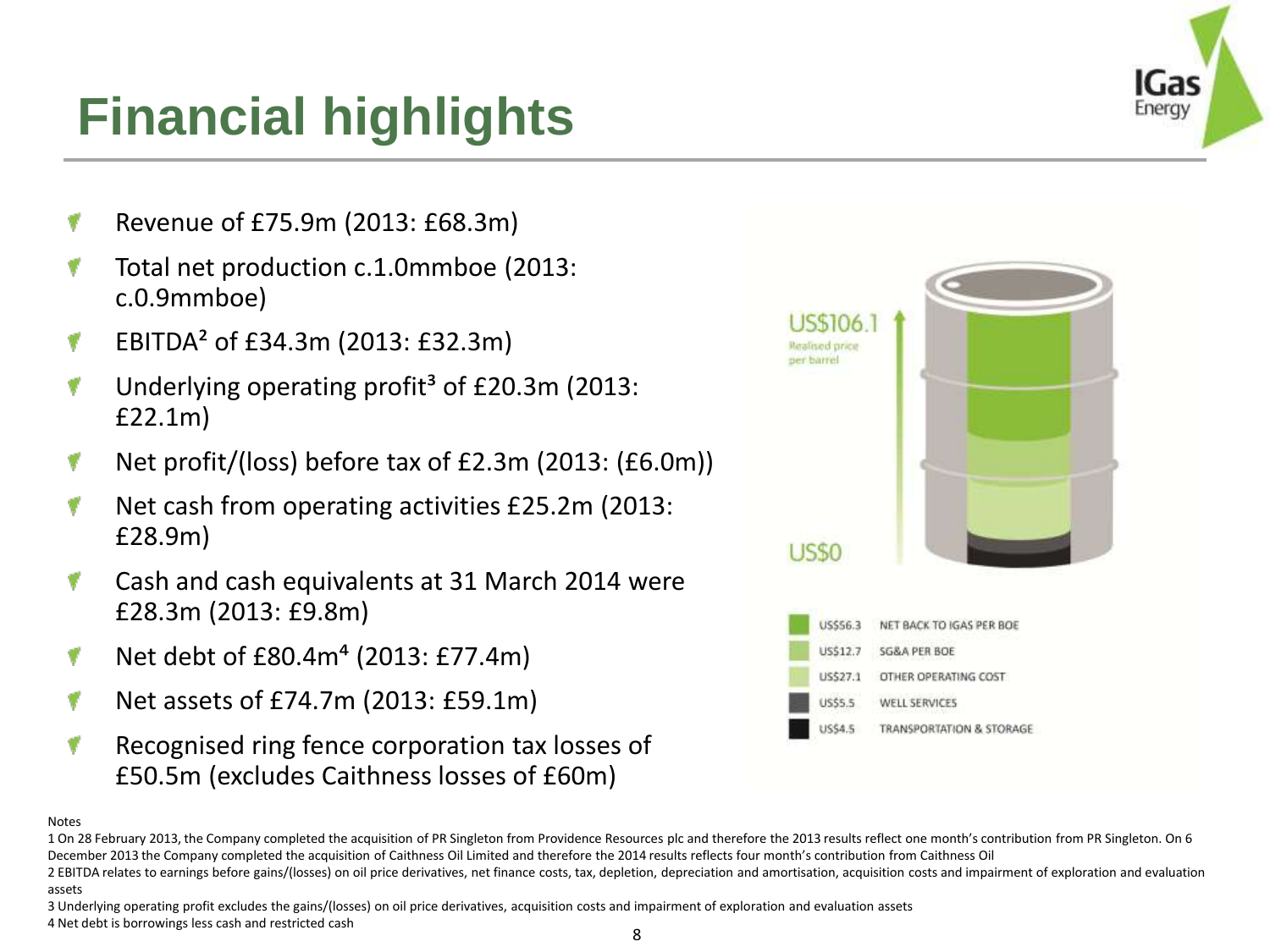#### **Financial highlights**

- Revenue of £75.9m (2013: £68.3m)
- Total net production c.1.0mmboe (2013: c.0.9mmboe)
- EBITDA² of £34.3m (2013: £32.3m)
- Underlying operating profit<sup>3</sup> of  $E20.3$ m (2013: £22.1m)
- Net profit/(loss) before tax of £2.3m (2013: (£6.0m))
- Net cash from operating activities £25.2m (2013: £28.9m)
- Cash and cash equivalents at 31 March 2014 were £28.3m (2013: £9.8m)
- Net debt of £80.4m⁴ (2013: £77.4m)
- Net assets of £74.7m (2013: £59.1m)
- Recognised ring fence corporation tax losses of £50.5m (excludes Caithness losses of £60m)



#### Notes

3 Underlying operating profit excludes the gains/(losses) on oil price derivatives, acquisition costs and impairment of exploration and evaluation assets 4 Net debt is borrowings less cash and restricted cash



<sup>1</sup> On 28 February 2013, the Company completed the acquisition of PR Singleton from Providence Resources plc and therefore the 2013 results reflect one month's contribution from PR Singleton. On 6 December 2013 the Company completed the acquisition of Caithness Oil Limited and therefore the 2014 results reflects four month's contribution from Caithness Oil

<sup>2</sup> EBITDA relates to earnings before gains/(losses) on oil price derivatives, net finance costs, tax, depletion, depreciation and amortisation, acquisition costs and impairment of exploration and evaluation assets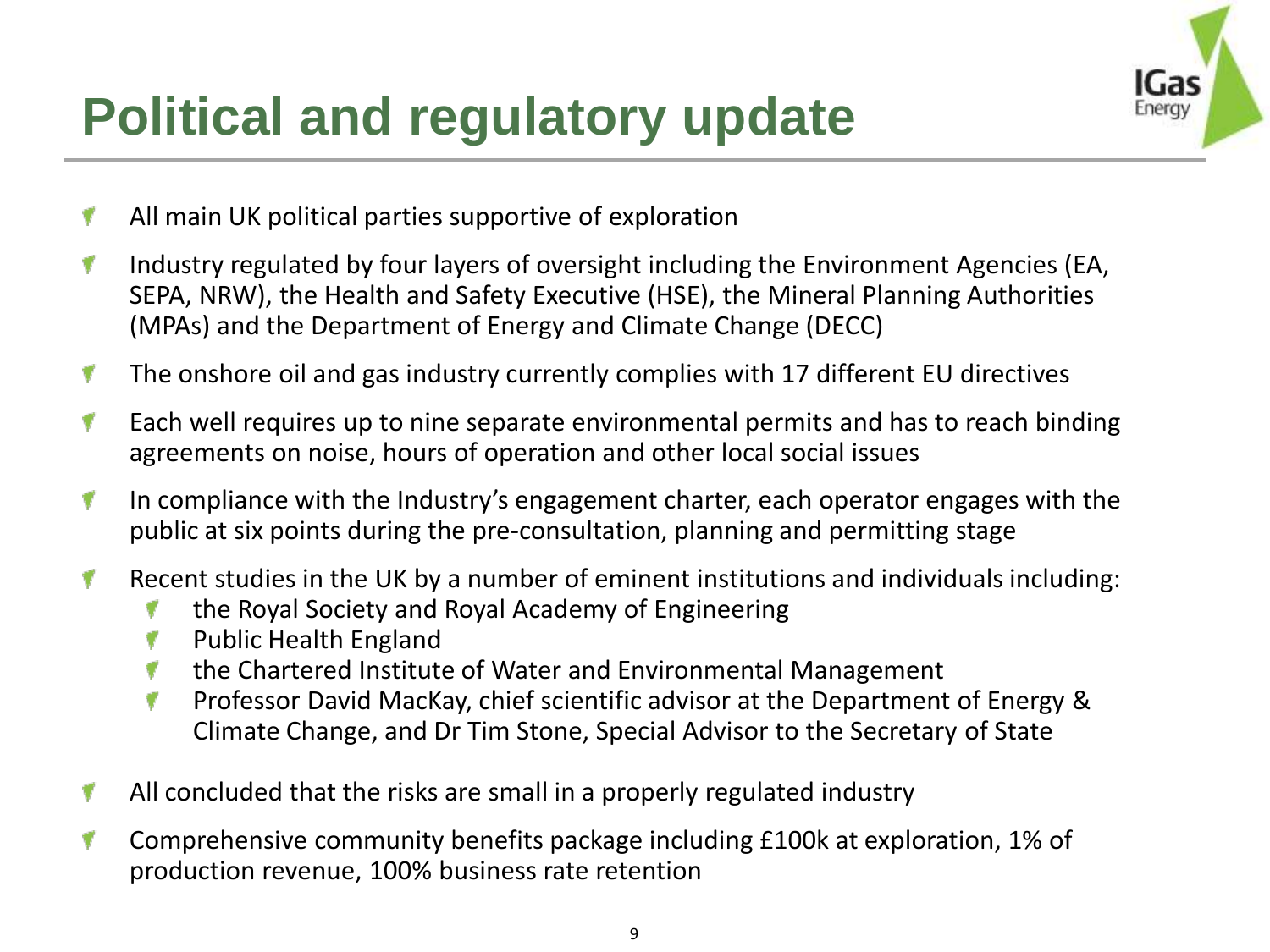

### **Political and regulatory update**

- All main UK political parties supportive of exploration
- Industry regulated by four layers of oversight including the Environment Agencies (EA, v SEPA, NRW), the Health and Safety Executive (HSE), the Mineral Planning Authorities (MPAs) and the Department of Energy and Climate Change (DECC)
- ۷ The onshore oil and gas industry currently complies with 17 different EU directives
- v Each well requires up to nine separate environmental permits and has to reach binding agreements on noise, hours of operation and other local social issues
- In compliance with the Industry's engagement charter, each operator engages with the v public at six points during the pre-consultation, planning and permitting stage
- Recent studies in the UK by a number of eminent institutions and individuals including: v
	- the Royal Society and Royal Academy of Engineering
	- Public Health England
	- the Chartered Institute of Water and Environmental Management v
	- ۷ Professor David MacKay, chief scientific advisor at the Department of Energy & Climate Change, and Dr Tim Stone, Special Advisor to the Secretary of State
- All concluded that the risks are small in a properly regulated industry v
- Comprehensive community benefits package including £100k at exploration, 1% of v production revenue, 100% business rate retention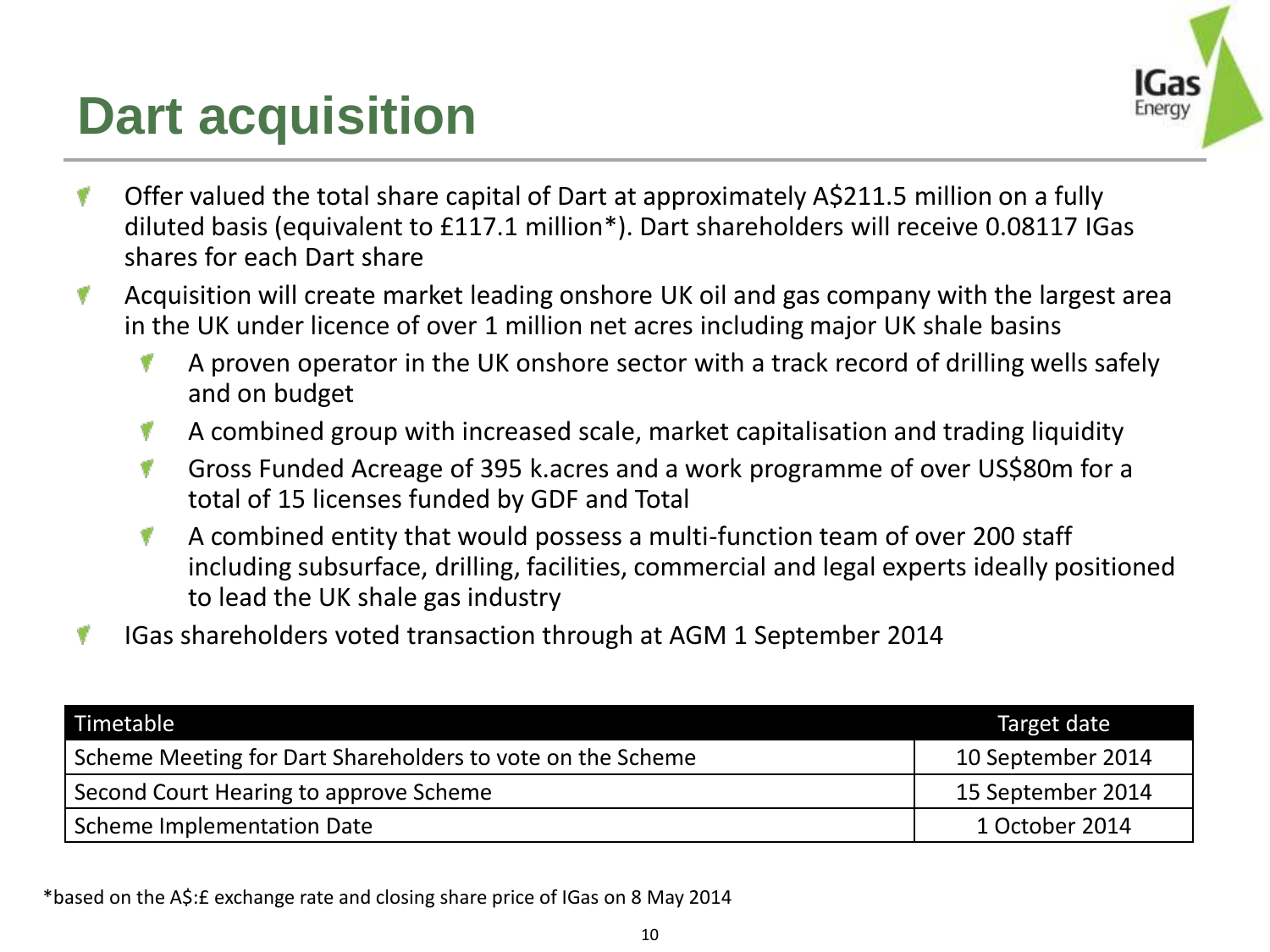#### **Dart acquisition**



- Offer valued the total share capital of Dart at approximately A\$211.5 million on a fully V diluted basis (equivalent to £117.1 million\*). Dart shareholders will receive 0.08117 IGas shares for each Dart share
- Acquisition will create market leading onshore UK oil and gas company with the largest area v in the UK under licence of over 1 million net acres including major UK shale basins
	- 1 A proven operator in the UK onshore sector with a track record of drilling wells safely and on budget
	- A combined group with increased scale, market capitalisation and trading liquidity v
	- Gross Funded Acreage of 395 k.acres and a work programme of over US\$80m for a V total of 15 licenses funded by GDF and Total
	- 1 A combined entity that would possess a multi-function team of over 200 staff including subsurface, drilling, facilities, commercial and legal experts ideally positioned to lead the UK shale gas industry
- IGas shareholders voted transaction through at AGM 1 September 2014

| Timetable                                                  | Target date       |
|------------------------------------------------------------|-------------------|
| Scheme Meeting for Dart Shareholders to vote on the Scheme | 10 September 2014 |
| Second Court Hearing to approve Scheme                     | 15 September 2014 |
| Scheme Implementation Date                                 | 1 October 2014    |

\*based on the A\$:£ exchange rate and closing share price of IGas on 8 May 2014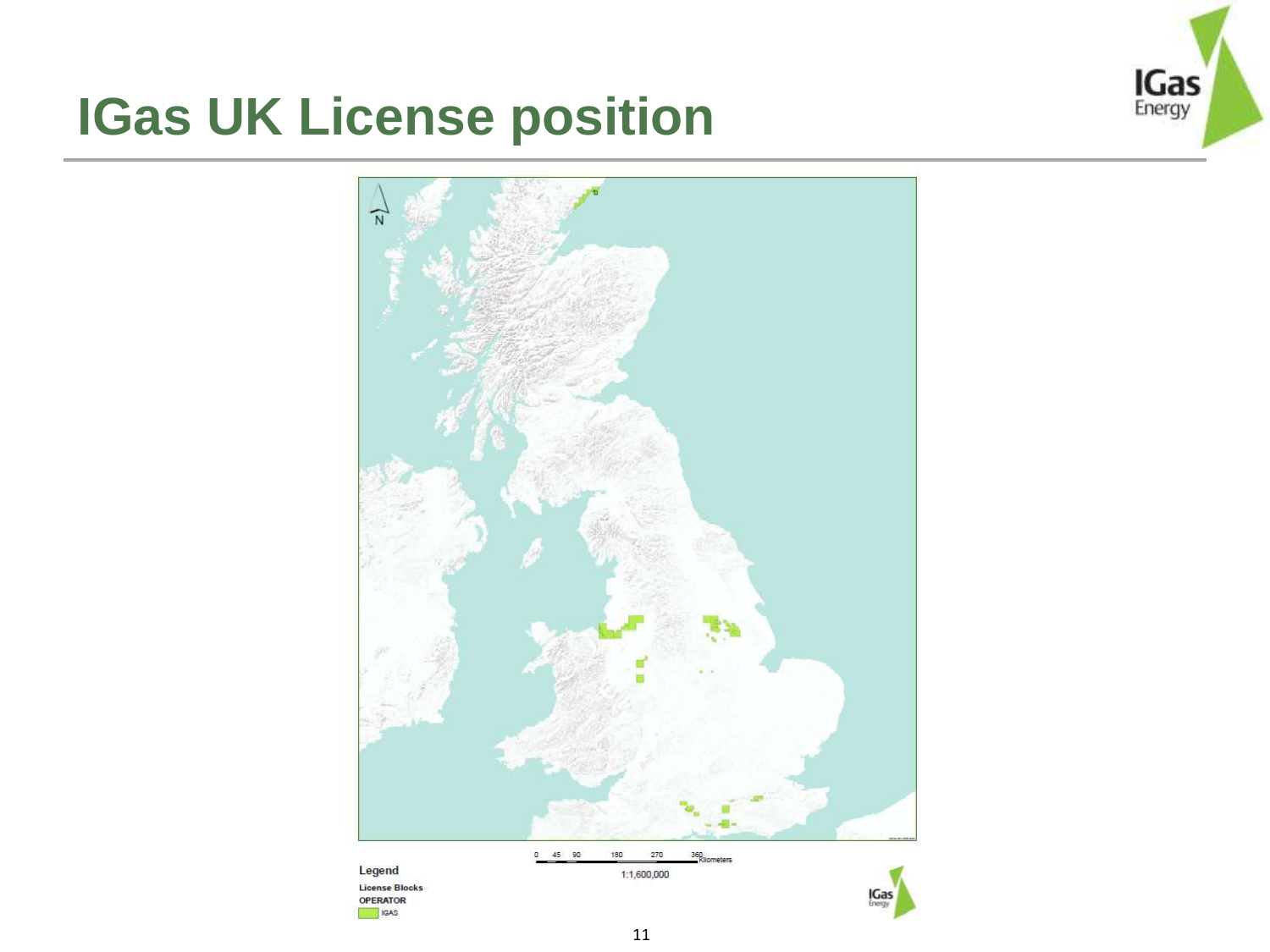#### **IGas UK License position**



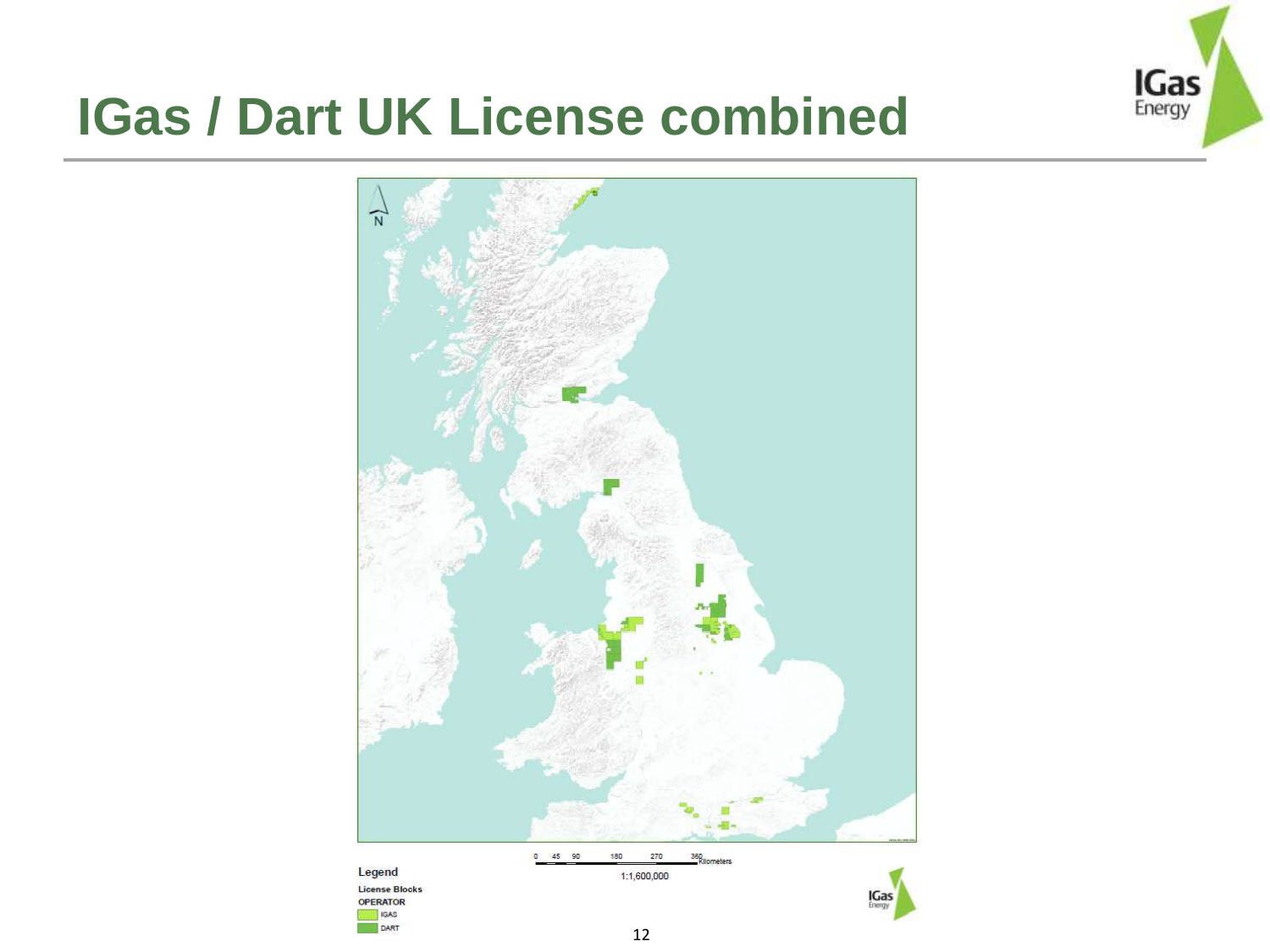

#### **IGas / Dart UK License combined**

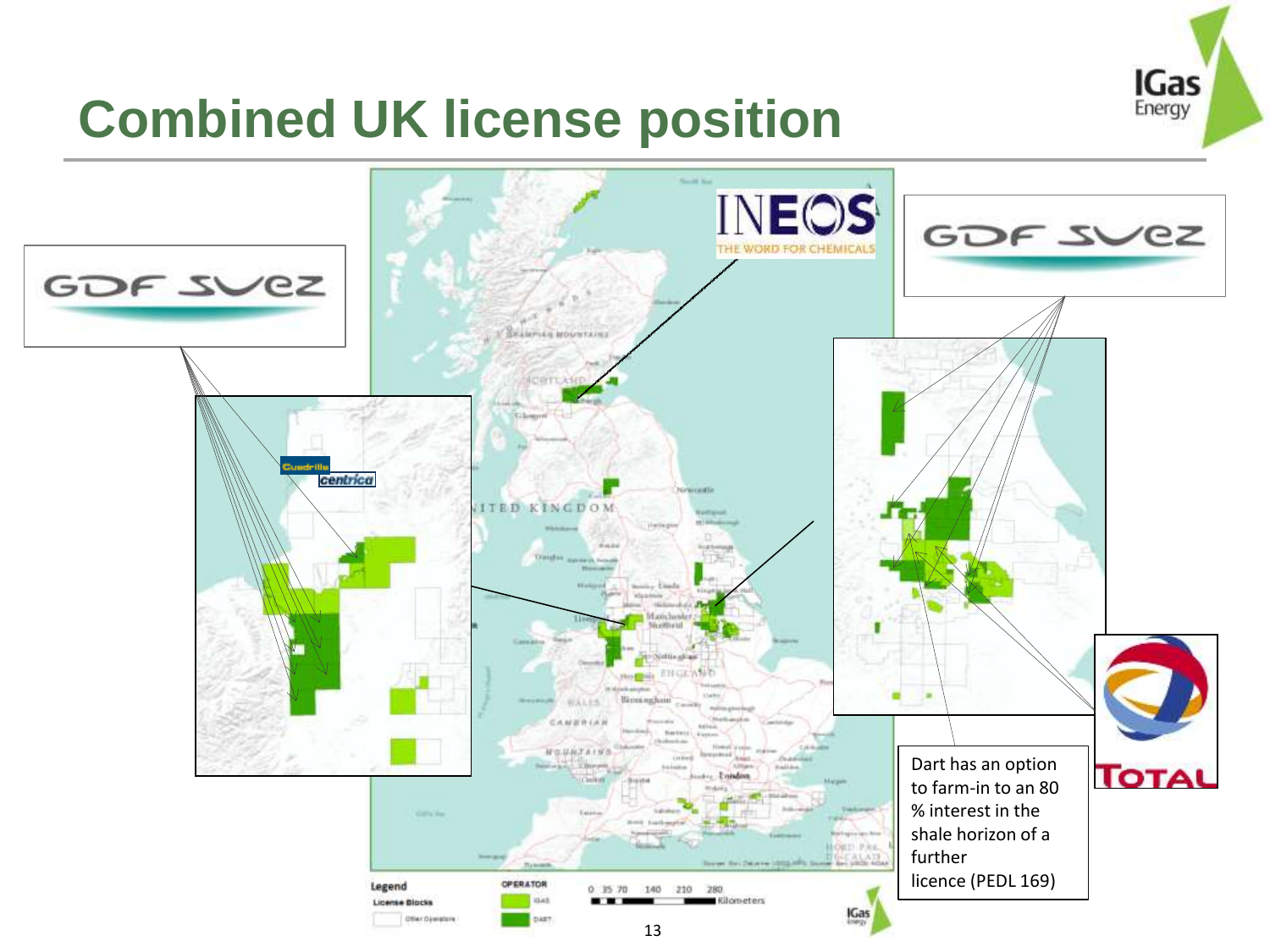

#### **Combined UK license position**